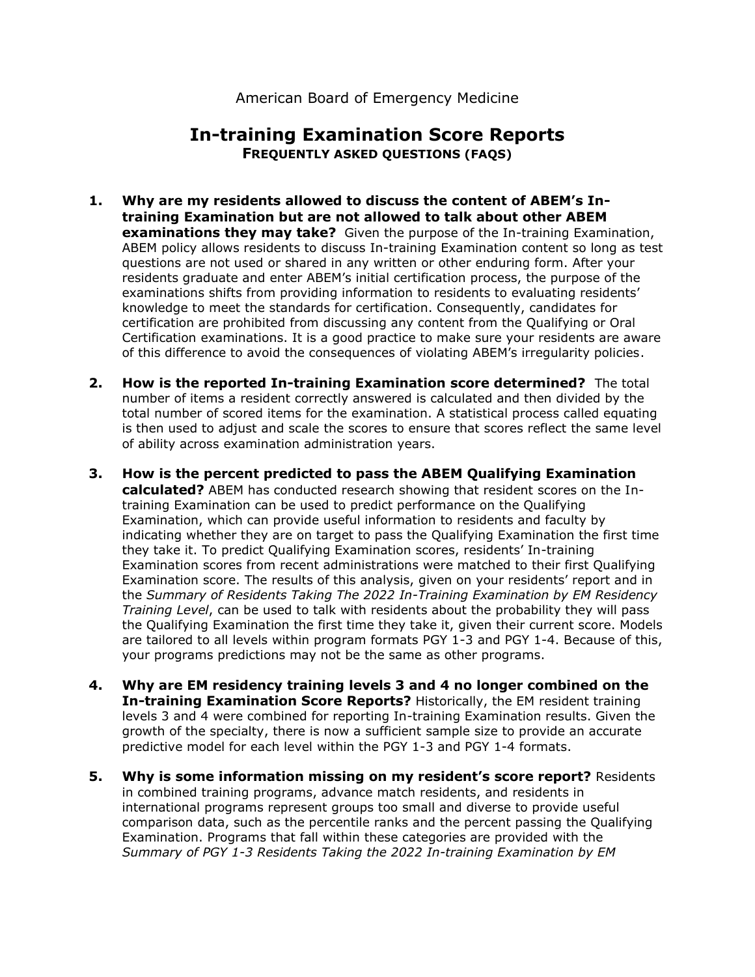## American Board of Emergency Medicine

## **In-training Examination Score Reports FREQUENTLY ASKED QUESTIONS (FAQS)**

- **1. Why are my residents allowed to discuss the content of ABEM's Intraining Examination but are not allowed to talk about other ABEM examinations they may take?** Given the purpose of the In-training Examination, ABEM policy allows residents to discuss In-training Examination content so long as test questions are not used or shared in any written or other enduring form. After your residents graduate and enter ABEM's initial certification process, the purpose of the examinations shifts from providing information to residents to evaluating residents' knowledge to meet the standards for certification. Consequently, candidates for certification are prohibited from discussing any content from the Qualifying or Oral Certification examinations. It is a good practice to make sure your residents are aware of this difference to avoid the consequences of violating ABEM's irregularity policies.
- **2. How is the reported In-training Examination score determined?** The total number of items a resident correctly answered is calculated and then divided by the total number of scored items for the examination. A statistical process called equating is then used to adjust and scale the scores to ensure that scores reflect the same level of ability across examination administration years.
- **3. How is the percent predicted to pass the ABEM Qualifying Examination calculated?** ABEM has conducted research showing that resident scores on the Intraining Examination can be used to predict performance on the Qualifying Examination, which can provide useful information to residents and faculty by indicating whether they are on target to pass the Qualifying Examination the first time they take it. To predict Qualifying Examination scores, residents' In-training Examination scores from recent administrations were matched to their first Qualifying Examination score. The results of this analysis, given on your residents' report and in the *Summary of Residents Taking The 2022 In-Training Examination by EM Residency Training Level*, can be used to talk with residents about the probability they will pass the Qualifying Examination the first time they take it, given their current score. Models are tailored to all levels within program formats PGY 1-3 and PGY 1-4. Because of this, your programs predictions may not be the same as other programs.
- **4. Why are EM residency training levels 3 and 4 no longer combined on the In-training Examination Score Reports?** Historically, the EM resident training levels 3 and 4 were combined for reporting In-training Examination results. Given the growth of the specialty, there is now a sufficient sample size to provide an accurate predictive model for each level within the PGY 1-3 and PGY 1-4 formats.
- **5. Why is some information missing on my resident's score report?** Residents in combined training programs, advance match residents, and residents in international programs represent groups too small and diverse to provide useful comparison data, such as the percentile ranks and the percent passing the Qualifying Examination. Programs that fall within these categories are provided with the *Summary of PGY 1-3 Residents Taking the 2022 In-training Examination by EM*